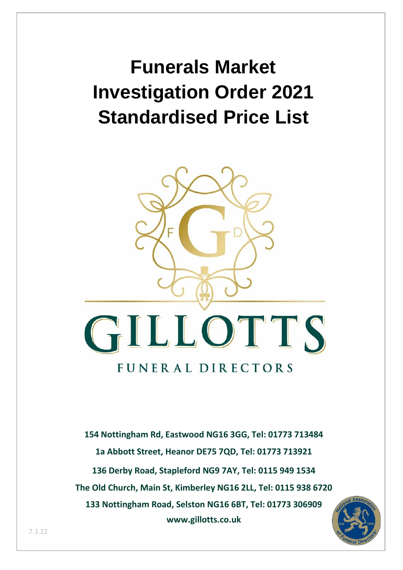# **Funerals Market Investigation Order 2021 Standardised Price List**



**154 Nottingham Rd, Eastwood NG16 3GG, Tel: 01773 713484 1a Abbott Street, Heanor DE75 7QD, Tel: 01773 713921 136 Derby Road, Stapleford NG9 7AY, Tel: 0115 949 1534 The Old Church, Main St, Kimberley NG16 2LL, Tel: 0115 938 6720 133 Nottingham Road, Selston NG16 6BT, Tel: 01773 306909 www.gillotts.co.uk**

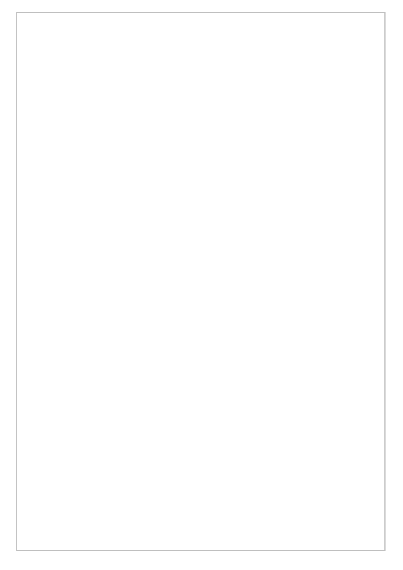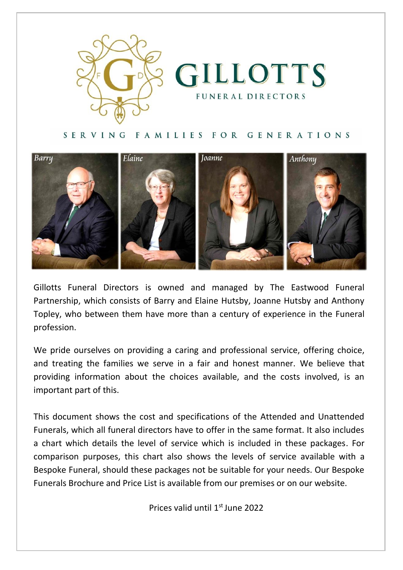



#### SERVING FAMILIES FOR GENERATIONS



Gillotts Funeral Directors is owned and managed by The Eastwood Funeral Partnership, which consists of Barry and Elaine Hutsby, Joanne Hutsby and Anthony Topley, who between them have more than a century of experience in the Funeral profession.

We pride ourselves on providing a caring and professional service, offering choice, and treating the families we serve in a fair and honest manner. We believe that providing information about the choices available, and the costs involved, is an important part of this.

This document shows the cost and specifications of the Attended and Unattended Funerals, which all funeral directors have to offer in the same format. It also includes a chart which details the level of service which is included in these packages. For comparison purposes, this chart also shows the levels of service available with a Bespoke Funeral, should these packages not be suitable for your needs. Our Bespoke Funerals Brochure and Price List is available from our premises or on our website.

Prices valid until 1<sup>st</sup> June 2022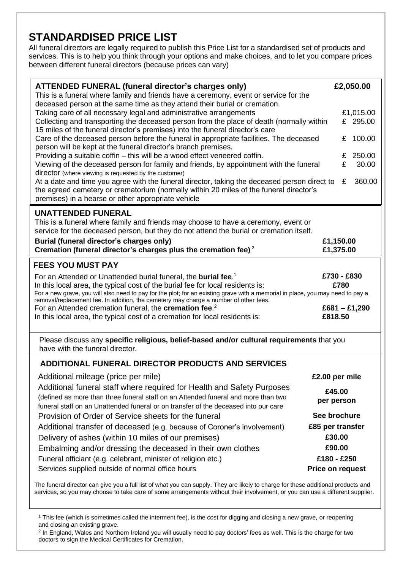# **STANDARDISED PRICE LIST**

All funeral directors are legally required to publish this Price List for a standardised set of products and services. This is to help you think through your options and make choices, and to let you compare prices between different funeral directors (because prices can vary)

| <b>ATTENDED FUNERAL (funeral director's charges only)</b><br>This is a funeral where family and friends have a ceremony, event or service for the<br>deceased person at the same time as they attend their burial or cremation.<br>Taking care of all necessary legal and administrative arrangements<br>Collecting and transporting the deceased person from the place of death (normally within<br>15 miles of the funeral director's premises) into the funeral director's care<br>Care of the deceased person before the funeral in appropriate facilities. The deceased<br>person will be kept at the funeral director's branch premises.<br>Providing a suitable coffin – this will be a wood effect veneered coffin.<br>Viewing of the deceased person for family and friends, by appointment with the funeral<br>director (where viewing is requested by the customer)<br>At a date and time you agree with the funeral director, taking the deceased person direct to<br>the agreed cemetery or crematorium (normally within 20 miles of the funeral director's<br>premises) in a hearse or other appropriate vehicle | £2,050.00<br>£1,015.00<br>£ 295.00<br>100.00<br>£<br>250.00<br>£<br>£<br>30.00<br>360.00<br>£ |  |
|--------------------------------------------------------------------------------------------------------------------------------------------------------------------------------------------------------------------------------------------------------------------------------------------------------------------------------------------------------------------------------------------------------------------------------------------------------------------------------------------------------------------------------------------------------------------------------------------------------------------------------------------------------------------------------------------------------------------------------------------------------------------------------------------------------------------------------------------------------------------------------------------------------------------------------------------------------------------------------------------------------------------------------------------------------------------------------------------------------------------------------|-----------------------------------------------------------------------------------------------|--|
| <b>UNATTENDED FUNERAL</b><br>This is a funeral where family and friends may choose to have a ceremony, event or<br>service for the deceased person, but they do not attend the burial or cremation itself.<br>Burial (funeral director's charges only)<br>Cremation (funeral director's charges plus the cremation fee) $2$                                                                                                                                                                                                                                                                                                                                                                                                                                                                                                                                                                                                                                                                                                                                                                                                    | £1,150.00<br>£1,375.00                                                                        |  |
| <b>FEES YOU MUST PAY</b><br>For an Attended or Unattended burial funeral, the <b>burial fee.</b> <sup>1</sup><br>In this local area, the typical cost of the burial fee for local residents is:<br>For a new grave, you will also need to pay for the plot; for an existing grave with a memorial in place, you may need to pay a<br>removal/replacement fee. In addition, the cemetery may charge a number of other fees.<br>For an Attended cremation funeral, the cremation fee. <sup>2</sup><br>In this local area, the typical cost of a cremation for local residents is:                                                                                                                                                                                                                                                                                                                                                                                                                                                                                                                                                | £730 - £830<br>£780<br>$£681 - £1,290$<br>£818.50                                             |  |
| Please discuss any specific religious, belief-based and/or cultural requirements that you<br>have with the funeral director.                                                                                                                                                                                                                                                                                                                                                                                                                                                                                                                                                                                                                                                                                                                                                                                                                                                                                                                                                                                                   |                                                                                               |  |
| <b>ADDITIONAL FUNERAL DIRECTOR PRODUCTS AND SERVICES</b>                                                                                                                                                                                                                                                                                                                                                                                                                                                                                                                                                                                                                                                                                                                                                                                                                                                                                                                                                                                                                                                                       |                                                                                               |  |
| Additional mileage (price per mile)                                                                                                                                                                                                                                                                                                                                                                                                                                                                                                                                                                                                                                                                                                                                                                                                                                                                                                                                                                                                                                                                                            | £2.00 per mile                                                                                |  |
| Additional funeral staff where required for Health and Safety Purposes<br>(defined as more than three funeral staff on an Attended funeral and more than two<br>funeral staff on an Unattended funeral or on transfer of the deceased into our care                                                                                                                                                                                                                                                                                                                                                                                                                                                                                                                                                                                                                                                                                                                                                                                                                                                                            | £45.00<br>per person                                                                          |  |
| Provision of Order of Service sheets for the funeral                                                                                                                                                                                                                                                                                                                                                                                                                                                                                                                                                                                                                                                                                                                                                                                                                                                                                                                                                                                                                                                                           | See brochure                                                                                  |  |
| Additional transfer of deceased (e.g. because of Coroner's involvement)<br>Delivery of ashes (within 10 miles of our premises)                                                                                                                                                                                                                                                                                                                                                                                                                                                                                                                                                                                                                                                                                                                                                                                                                                                                                                                                                                                                 | £85 per transfer<br>£30.00                                                                    |  |
| Embalming and/or dressing the deceased in their own clothes                                                                                                                                                                                                                                                                                                                                                                                                                                                                                                                                                                                                                                                                                                                                                                                                                                                                                                                                                                                                                                                                    | £90.00                                                                                        |  |
| Funeral officiant (e.g. celebrant, minister of religion etc.)                                                                                                                                                                                                                                                                                                                                                                                                                                                                                                                                                                                                                                                                                                                                                                                                                                                                                                                                                                                                                                                                  | £180 - £250                                                                                   |  |
| Services supplied outside of normal office hours                                                                                                                                                                                                                                                                                                                                                                                                                                                                                                                                                                                                                                                                                                                                                                                                                                                                                                                                                                                                                                                                               | Price on request                                                                              |  |

The funeral director can give you a full list of what you can supply. They are likely to charge for these additional products and services, so you may choose to take care of some arrangements without their involvement, or you can use a different supplier.

<sup>1</sup> This fee (which is sometimes called the interment fee), is the cost for digging and closing a new grave, or reopening and closing an existing grave.

<sup>2</sup> In England, Wales and Northern Ireland you will usually need to pay doctors' fees as well. This is the charge for two doctors to sign the Medical Certificates for Cremation.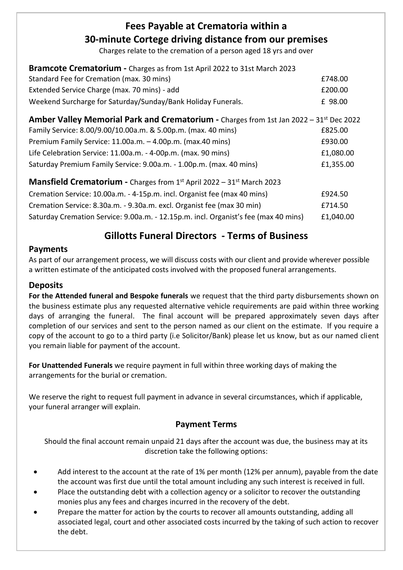## **Fees Payable at Crematoria within a 30-minute Cortege driving distance from our premises**

Charges relate to the cremation of a person aged 18 yrs and over

| <b>Bramcote Crematorium - Charges as from 1st April 2022 to 31st March 2023</b>               |           |  |  |  |
|-----------------------------------------------------------------------------------------------|-----------|--|--|--|
| Standard Fee for Cremation (max. 30 mins)                                                     | £748.00   |  |  |  |
| Extended Service Charge (max. 70 mins) - add                                                  | £200.00   |  |  |  |
| Weekend Surcharge for Saturday/Sunday/Bank Holiday Funerals.                                  | £ 98.00   |  |  |  |
| <b>Amber Valley Memorial Park and Crematorium - Charges from 1st Jan 2022 - 31st Dec 2022</b> |           |  |  |  |
| Family Service: 8.00/9.00/10.00a.m. & 5.00p.m. (max. 40 mins)                                 | £825.00   |  |  |  |
| Premium Family Service: 11.00a.m. - 4.00p.m. (max.40 mins)                                    | £930.00   |  |  |  |
| Life Celebration Service: 11.00a.m. - 4-00p.m. (max. 90 mins)                                 | £1,080.00 |  |  |  |
| Saturday Premium Family Service: 9.00a.m. - 1.00p.m. (max. 40 mins)                           | £1,355.00 |  |  |  |
| <b>Mansfield Crematorium - Charges from 1st April 2022 - 31st March 2023</b>                  |           |  |  |  |
| Cremation Service: 10.00a.m. - 4-15p.m. incl. Organist fee (max 40 mins)                      | £924.50   |  |  |  |
| Cremation Service: 8.30a.m. - 9.30a.m. excl. Organist fee (max 30 min)                        | £714.50   |  |  |  |

Saturday Cremation Service: 9.00a.m. - 12.15p.m. incl. Organist's fee (max 40 mins) £1,040.00

## **Gillotts Funeral Directors - Terms of Business**

## **Payments**

As part of our arrangement process, we will discuss costs with our client and provide wherever possible a written estimate of the anticipated costs involved with the proposed funeral arrangements.

### **Deposits**

**For the Attended funeral and Bespoke funerals** we request that the third party disbursements shown on the business estimate plus any requested alternative vehicle requirements are paid within three working days of arranging the funeral. The final account will be prepared approximately seven days after completion of our services and sent to the person named as our client on the estimate. If you require a copy of the account to go to a third party (i.e Solicitor/Bank) please let us know, but as our named client you remain liable for payment of the account.

**For Unattended Funerals** we require payment in full within three working days of making the arrangements for the burial or cremation.

We reserve the right to request full payment in advance in several circumstances, which if applicable, your funeral arranger will explain.

## **Payment Terms**

Should the final account remain unpaid 21 days after the account was due, the business may at its discretion take the following options:

- Add interest to the account at the rate of 1% per month (12% per annum), payable from the date the account was first due until the total amount including any such interest is received in full.
- Place the outstanding debt with a collection agency or a solicitor to recover the outstanding monies plus any fees and charges incurred in the recovery of the debt.
- Prepare the matter for action by the courts to recover all amounts outstanding, adding all associated legal, court and other associated costs incurred by the taking of such action to recover the debt.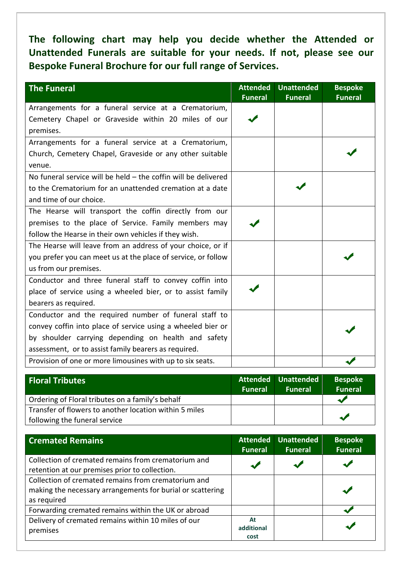**The following chart may help you decide whether the Attended or Unattended Funerals are suitable for your needs. If not, please see our Bespoke Funeral Brochure for our full range of Services.**

| <b>The Funeral</b>                                               | <b>Attended</b><br><b>Funeral</b> | <b>Unattended</b><br><b>Funeral</b> | <b>Bespoke</b><br><b>Funeral</b> |
|------------------------------------------------------------------|-----------------------------------|-------------------------------------|----------------------------------|
| Arrangements for a funeral service at a Crematorium,             |                                   |                                     |                                  |
| Cemetery Chapel or Graveside within 20 miles of our              |                                   |                                     |                                  |
| premises.                                                        |                                   |                                     |                                  |
| Arrangements for a funeral service at a Crematorium,             |                                   |                                     |                                  |
| Church, Cemetery Chapel, Graveside or any other suitable         |                                   |                                     |                                  |
| venue.                                                           |                                   |                                     |                                  |
| No funeral service will be held $-$ the coffin will be delivered |                                   |                                     |                                  |
| to the Crematorium for an unattended cremation at a date         |                                   |                                     |                                  |
| and time of our choice.                                          |                                   |                                     |                                  |
| The Hearse will transport the coffin directly from our           |                                   |                                     |                                  |
| premises to the place of Service. Family members may             |                                   |                                     |                                  |
| follow the Hearse in their own vehicles if they wish.            |                                   |                                     |                                  |
| The Hearse will leave from an address of your choice, or if      |                                   |                                     |                                  |
| you prefer you can meet us at the place of service, or follow    |                                   |                                     |                                  |
| us from our premises.                                            |                                   |                                     |                                  |
| Conductor and three funeral staff to convey coffin into          |                                   |                                     |                                  |
| place of service using a wheeled bier, or to assist family       |                                   |                                     |                                  |
| bearers as required.                                             |                                   |                                     |                                  |
| Conductor and the required number of funeral staff to            |                                   |                                     |                                  |
| convey coffin into place of service using a wheeled bier or      |                                   |                                     |                                  |
| by shoulder carrying depending on health and safety              |                                   |                                     |                                  |
| assessment, or to assist family bearers as required.             |                                   |                                     |                                  |
| Provision of one or more limousines with up to six seats.        |                                   |                                     |                                  |

| <b>Floral Tributes</b>                                 |                | Attended Unattended | <b>Bespoke</b> |
|--------------------------------------------------------|----------------|---------------------|----------------|
|                                                        | <b>Funeral</b> | <b>Funeral</b>      | <b>Funeral</b> |
| Ordering of Floral tributes on a family's behalf       |                |                     |                |
| Transfer of flowers to another location within 5 miles |                |                     |                |
| following the funeral service                          |                |                     | $\cdot$        |

| <b>Cremated Remains</b>                                                                                                          | <b>Attended</b><br><b>Funeral</b> | <b>Unattended</b><br><b>Funeral</b> | <b>Bespoke</b><br><b>Funeral</b> |
|----------------------------------------------------------------------------------------------------------------------------------|-----------------------------------|-------------------------------------|----------------------------------|
| Collection of cremated remains from crematorium and<br>retention at our premises prior to collection.                            |                                   |                                     |                                  |
| Collection of cremated remains from crematorium and<br>making the necessary arrangements for burial or scattering<br>as required |                                   |                                     |                                  |
| Forwarding cremated remains within the UK or abroad                                                                              |                                   |                                     |                                  |
| Delivery of cremated remains within 10 miles of our<br>premises                                                                  | At<br>additional<br>cost          |                                     |                                  |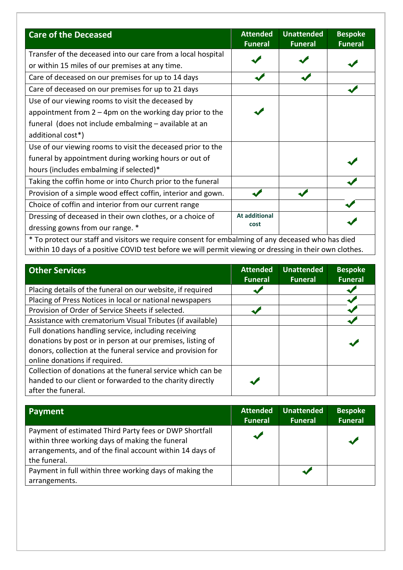| <b>Care of the Deceased</b>                                  | <b>Attended</b><br><b>Funeral</b> | <b>Unattended</b><br><b>Funeral</b> | <b>Bespoke</b><br><b>Funeral</b> |
|--------------------------------------------------------------|-----------------------------------|-------------------------------------|----------------------------------|
| Transfer of the deceased into our care from a local hospital |                                   |                                     |                                  |
| or within 15 miles of our premises at any time.              |                                   |                                     |                                  |
| Care of deceased on our premises for up to 14 days           |                                   |                                     |                                  |
| Care of deceased on our premises for up to 21 days           |                                   |                                     |                                  |
| Use of our viewing rooms to visit the deceased by            |                                   |                                     |                                  |
| appointment from $2 - 4$ pm on the working day prior to the  |                                   |                                     |                                  |
| funeral (does not include embalming - available at an        |                                   |                                     |                                  |
| additional cost*)                                            |                                   |                                     |                                  |
| Use of our viewing rooms to visit the deceased prior to the  |                                   |                                     |                                  |
| funeral by appointment during working hours or out of        |                                   |                                     |                                  |
| hours (includes embalming if selected)*                      |                                   |                                     |                                  |
| Taking the coffin home or into Church prior to the funeral   |                                   |                                     |                                  |
| Provision of a simple wood effect coffin, interior and gown. |                                   |                                     |                                  |
| Choice of coffin and interior from our current range         |                                   |                                     |                                  |
| Dressing of deceased in their own clothes, or a choice of    | <b>At additional</b><br>cost      |                                     |                                  |
| dressing gowns from our range. *                             |                                   |                                     |                                  |
|                                                              |                                   |                                     |                                  |

\* To protect our staff and visitors we require consent for embalming of any deceased who has died within 10 days of a positive COVID test before we will permit viewing or dressing in their own clothes.

| <b>Other Services</b>                                       | <b>Attended</b> | <b>Unattended</b> | <b>Bespoke</b> |
|-------------------------------------------------------------|-----------------|-------------------|----------------|
|                                                             | <b>Funeral</b>  | <b>Funeral</b>    | <b>Funeral</b> |
| Placing details of the funeral on our website, if required  |                 |                   |                |
| Placing of Press Notices in local or national newspapers    |                 |                   |                |
| Provision of Order of Service Sheets if selected.           |                 |                   |                |
| Assistance with crematorium Visual Tributes (if available)  |                 |                   |                |
| Full donations handling service, including receiving        |                 |                   |                |
| donations by post or in person at our premises, listing of  |                 |                   |                |
| donors, collection at the funeral service and provision for |                 |                   |                |
| online donations if required.                               |                 |                   |                |
| Collection of donations at the funeral service which can be |                 |                   |                |
| handed to our client or forwarded to the charity directly   |                 |                   |                |
| after the funeral.                                          |                 |                   |                |

| <b>Payment</b>                                                                                                                                                                        | <b>Attended</b><br><b>Funeral</b> | <b>Unattended</b><br><b>Funeral</b> | <b>Bespoke</b><br><b>Funeral</b> |
|---------------------------------------------------------------------------------------------------------------------------------------------------------------------------------------|-----------------------------------|-------------------------------------|----------------------------------|
| Payment of estimated Third Party fees or DWP Shortfall<br>within three working days of making the funeral<br>arrangements, and of the final account within 14 days of<br>the funeral. |                                   |                                     |                                  |
| Payment in full within three working days of making the                                                                                                                               |                                   |                                     |                                  |
| arrangements.                                                                                                                                                                         |                                   |                                     |                                  |